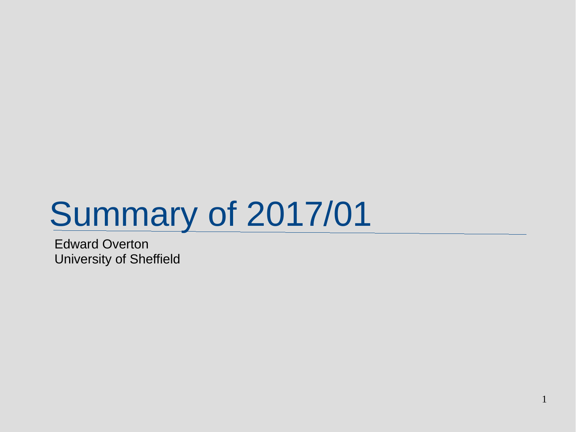# **Summary of 2017/01**

Edward Overton University of Sheffield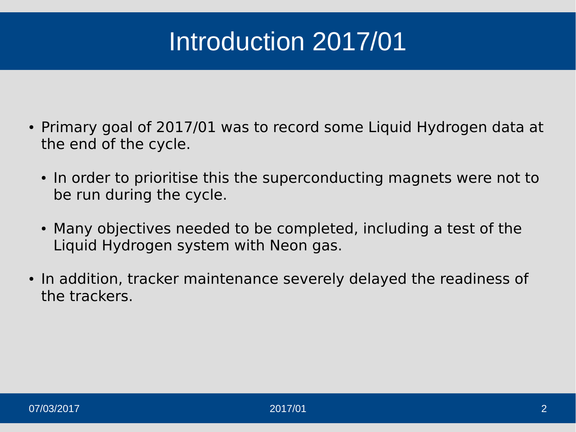## Introduction 2017/01

- Primary goal of 2017/01 was to record some Liquid Hydrogen data at the end of the cycle.
	- In order to prioritise this the superconducting magnets were not to be run during the cycle.
	- Many objectives needed to be completed, including a test of the Liquid Hydrogen system with Neon gas.
- In addition, tracker maintenance severely delayed the readiness of the trackers.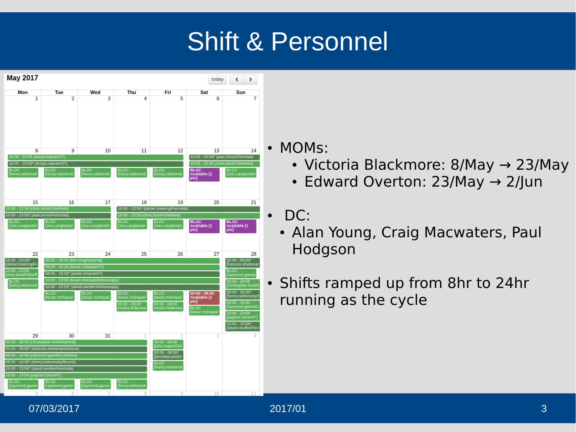### Shift & Personnel



• MOMs:

- Victoria Blackmore: 8/May  $\rightarrow$  23/May
- Edward Overton: 23/May  $\rightarrow$  2/Jun
- $\cdot$  DC:
	- Alan Young, Craig Macwaters, Paul Hodgson
- Shifts ramped up from 8hr to 24hr running as the cycle

#### 07/03/2017 2017/01 3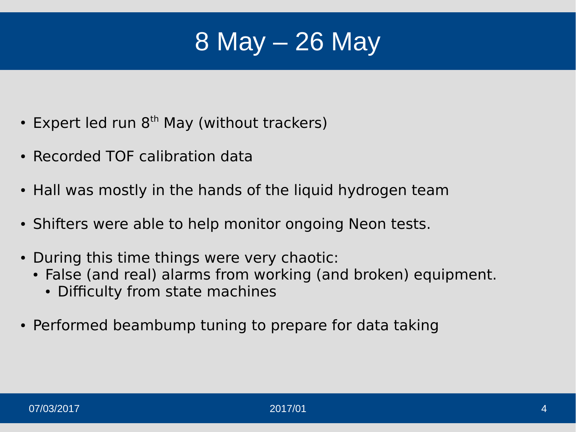### 8 May – 26 May

- Expert led run  $8<sup>th</sup>$  May (without trackers)
- Recorded TOF calibration data
- Hall was mostly in the hands of the liquid hydrogen team
- Shifters were able to help monitor ongoing Neon tests.
- During this time things were very chaotic:
	- False (and real) alarms from working (and broken) equipment.
		- Difficulty from state machines
- Performed beambump tuning to prepare for data taking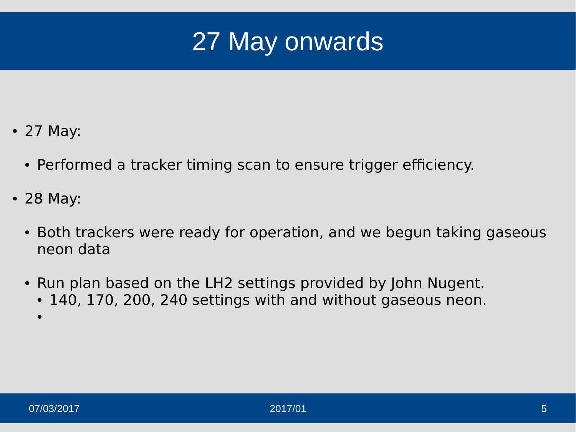

- 27 May:
	- Performed a tracker timing scan to ensure trigger efficiency.
- 28 May:
	- Both trackers were ready for operation, and we begun taking gaseous neon data
	- Run plan based on the LH2 settings provided by John Nugent. • 140, 170, 200, 240 settings with and without gaseous neon.
		- $\bullet$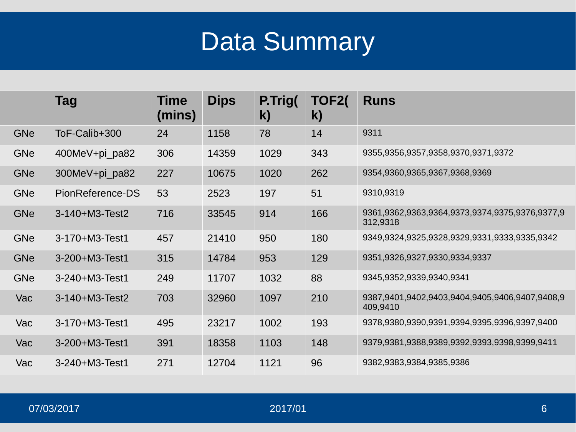### Data Summary

|            | Tag                    | Time<br>(mins) | <b>Dips</b> | P.Trig(<br>$\mathbf{k}$ | TOF2(<br>$\mathbf{k}$ | <b>Runs</b>                                                |
|------------|------------------------|----------------|-------------|-------------------------|-----------------------|------------------------------------------------------------|
| GNe        | ToF-Calib+300          | 24             | 1158        | 78                      | 14                    | 9311                                                       |
| GNe        | 400MeV+pi pa82         | 306            | 14359       | 1029                    | 343                   | 9355,9356,9357,9358,9370,9371,9372                         |
| GNe        | 300MeV+pi pa82         | 227            | 10675       | 1020                    | 262                   | 9354,9360,9365,9367,9368,9369                              |
| GNe        | PionReference-DS       | 53             | 2523        | 197                     | 51                    | 9310,9319                                                  |
| <b>GNe</b> | $3-140+M3-Test2$       | 716            | 33545       | 914                     | 166                   | 9361,9362,9363,9364,9373,9374,9375,9376,9377,9<br>312,9318 |
| GNe        | $3-170+M3-Test1$       | 457            | 21410       | 950                     | 180                   | 9349,9324,9325,9328,9329,9331,9333,9335,9342               |
| GNe        | 3-200+M3-Test1         | 315            | 14784       | 953                     | 129                   | 9351,9326,9327,9330,9334,9337                              |
| GNe        | $3 - 240 + M3 - Test1$ | 249            | 11707       | 1032                    | 88                    | 9345,9352,9339,9340,9341                                   |
| Vac        | 3-140+M3-Test2         | 703            | 32960       | 1097                    | 210                   | 9387,9401,9402,9403,9404,9405,9406,9407,9408,9<br>409,9410 |
| Vac        | $3-170+M3-Test1$       | 495            | 23217       | 1002                    | 193                   | 9378,9380,9390,9391,9394,9395,9396,9397,9400               |
| Vac        | 3-200+M3-Test1         | 391            | 18358       | 1103                    | 148                   | 9379,9381,9388,9389,9392,9393,9398,9399,9411               |
| Vac        | $3 - 240 + M3 - Test1$ | 271            | 12704       | 1121                    | 96                    | 9382,9383,9384,9385,9386                                   |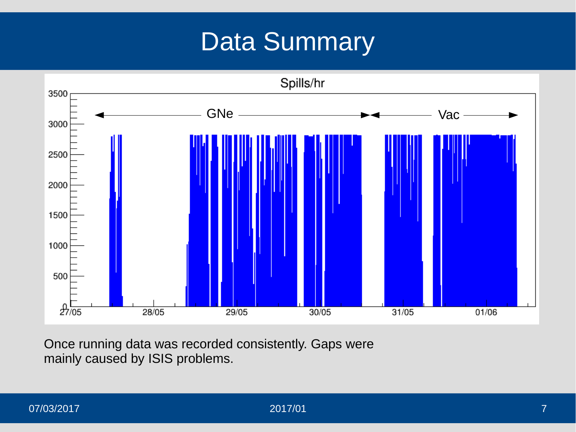#### Data Summary



Once running data was recorded consistently. Gaps were mainly caused by ISIS problems.